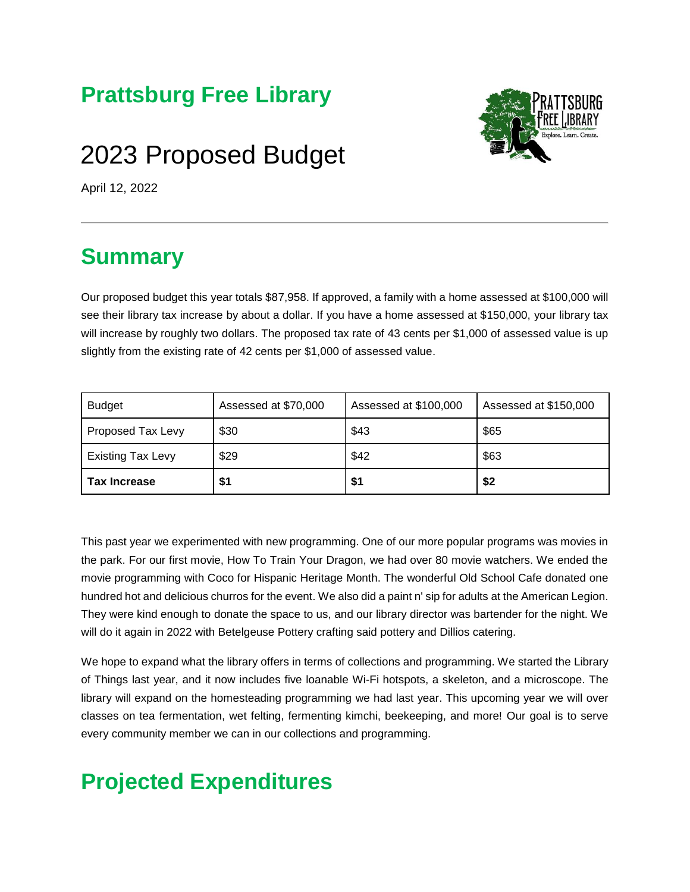#### **Prattsburg Free Library**

# 2023 Proposed Budget



April 12, 2022

## **Summary**

Our proposed budget this year totals \$87,958. If approved, a family with a home assessed at \$100,000 will see their library tax increase by about a dollar. If you have a home assessed at \$150,000, your library tax will increase by roughly two dollars. The proposed tax rate of 43 cents per \$1,000 of assessed value is up slightly from the existing rate of 42 cents per \$1,000 of assessed value.

| <b>Budget</b>            | Assessed at \$70,000 | Assessed at \$100,000 | Assessed at \$150,000 |
|--------------------------|----------------------|-----------------------|-----------------------|
| Proposed Tax Levy        | \$30                 | \$43                  | \$65                  |
| <b>Existing Tax Levy</b> | \$29                 | \$42                  | \$63                  |
| <b>Tax Increase</b>      | \$1                  | \$1                   | \$2                   |

This past year we experimented with new programming. One of our more popular programs was movies in the park. For our first movie, How To Train Your Dragon, we had over 80 movie watchers. We ended the movie programming with Coco for Hispanic Heritage Month. The wonderful Old School Cafe donated one hundred hot and delicious churros for the event. We also did a paint n' sip for adults at the American Legion. They were kind enough to donate the space to us, and our library director was bartender for the night. We will do it again in 2022 with Betelgeuse Pottery crafting said pottery and Dillios catering.

We hope to expand what the library offers in terms of collections and programming. We started the Library of Things last year, and it now includes five loanable Wi-Fi hotspots, a skeleton, and a microscope. The library will expand on the homesteading programming we had last year. This upcoming year we will over classes on tea fermentation, wet felting, fermenting kimchi, beekeeping, and more! Our goal is to serve every community member we can in our collections and programming.

## **Projected Expenditures**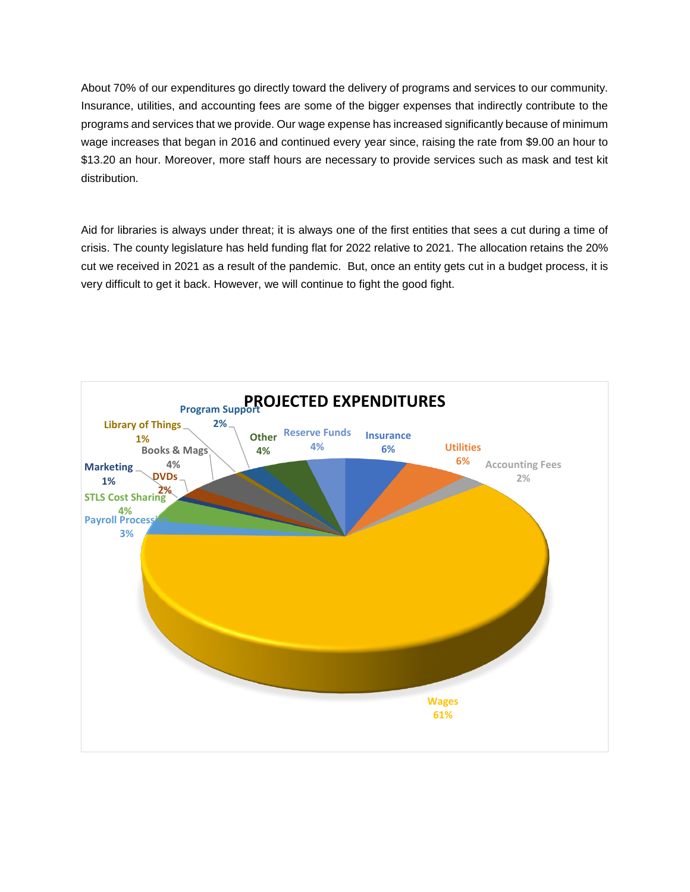About 70% of our expenditures go directly toward the delivery of programs and services to our community. Insurance, utilities, and accounting fees are some of the bigger expenses that indirectly contribute to the programs and services that we provide. Our wage expense has increased significantly because of minimum wage increases that began in 2016 and continued every year since, raising the rate from \$9.00 an hour to \$13.20 an hour. Moreover, more staff hours are necessary to provide services such as mask and test kit distribution.

Aid for libraries is always under threat; it is always one of the first entities that sees a cut during a time of crisis. The county legislature has held funding flat for 2022 relative to 2021. The allocation retains the 20% cut we received in 2021 as a result of the pandemic. But, once an entity gets cut in a budget process, it is very difficult to get it back. However, we will continue to fight the good fight.